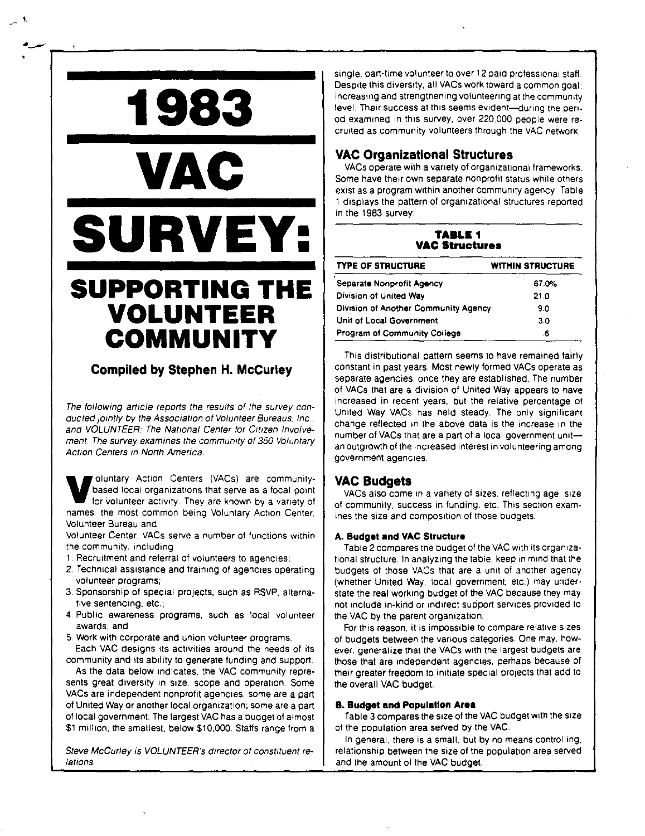# **SUPPORTING THE VOLUNTEER COMMUNITY**

**1983** 

**VAC** 

**SURVEY:** 

!.

# **Compiled by Stephen H. Mccurley**

The following article reports the results of the survey conducted jointly by the Association of Volunteer Bureaus, Inc., and VOLUNTEER: The National Center for Citizen Involve**ment. The survey examines the community of 350 Voluntary Action Centers in North America.** 

**V**oluntary Action Centers (VACs) are community-<br>based local organizations that serve as a focal point<br>for volunteer activity. They are known by a variety of based local organizations that serve as a focal point **names, the most common being Voluntary Action Center,**  Volunteer Bureau and

**Volunteer Center. VACs serve a number of functions within the community, including** 

- **1. Recruitment and referral of volunteers to agencies:**
- **2. Technical assistance and training at agencies operating volunteer programs;**
- 3. Sponsorship of special projects, such as RSVP. alterna**tive sentencing, etc.;**
- **4 Public awareness programs, such as local volunteer**  awards; and
- **5. Work with corporate and union volunteer programs.**
- Each VAC designs its activities around the needs of its community and its ability to generate funding and support.

As the data below indicates, the VAC community represents great diversity in size, scope and operation. Some VACs are independent nonprofit agencies; some are a part of United Way or another local organization; some are a part of local government. The largest VAC has a budget of almost \$1 million; the smallest, below \$10,000. Staffs range from a

Steve McCurley is VOLUNTEER's director of constituent re**lations.** 

**single. part-time volunteer to over 12 paid professional staff**  Despite this diversity, all VACs work toward a common goal: **increasing and strengthening volunteering at the community**  level. Their success at this seems evident-during the period examined in this survey, over 220.000 people were recruited as community volunteers through the VAC network.

·----\_\_ ;\_\_ \_\_\_\_\_\_\_\_\_\_\_\_\_\_\_\_\_\_\_\_\_\_\_\_\_\_\_\_\_\_\_\_\_\_\_\_\_\_\_\_\_\_\_\_ \_

# **VAC Organizational Structures**

VACs operate with a variety of organizational frameworks. **Some have their own separate nonprofit status while others**  exist as a program within another community agency Table 1 displays the pattern of organizational structures reported in the 1983 survey:

| <b>TABLE 1</b><br><b>VAC Structures</b> |                         |  |  |  |
|-----------------------------------------|-------------------------|--|--|--|
| <b>TYPE OF STRUCTURE</b>                | <b>WITHIN STRUCTURE</b> |  |  |  |
| <b>Separate Nonprofit Agency</b>        | 67.0%                   |  |  |  |
| Division of United Way                  | 21.0                    |  |  |  |
| Division of Another Community Agency    | 9.0                     |  |  |  |
| Unit of Local Government                | 3.0                     |  |  |  |
| <b>Program of Community College</b>     | .6                      |  |  |  |

This djstnbut,onal pattern **seems** to have remained fafrly constant in past years. Most newly formed VACs operate as separate agencies, once they are established. The number of VACs that are a division of United Way appears to have **increased in recent years. but the relative percentage of**  United Way VACs has held steady. The only significant change reflected in the above data is the increase in the **number of VACs that are a part of a local government unitan outgrowth of the increased interest in volunteering among government agencies.** 

# **VAC Budgets**

VACs also come in a variety of sizes, reflecting age, size. **of community, success in funding, etc. This section exam**ines the size and composition of those budgets.

### **A. Budget and VAC Structure**

Table 2 compares the budget of the VAC with its organizational structure. In analyzing the table, keep in mind that the budgets of those VACs that are a unit of another agency. (whether United Way, local government, etc.) may understate the real working budget of the VAC because they may not include in-kind or indirect support services provided to the VAC by the parent organization.

**For this reason, it Is impossible to compare relative sizes**  of budgets between the various categories One may, however. generalize that the VACs with the largest budgets are those that are independent agencies. perhaps because of their greater freedom to initiate special projects that add to the overall VAC budget.

#### **B. Budget and Population Area**

Table 3 compares the size of the VAC budget with the size of the population area served by the VAC.

**In general, there is a small. but by no means controlling,**  relationship between the size of the population area served and the amount of the VAC budget.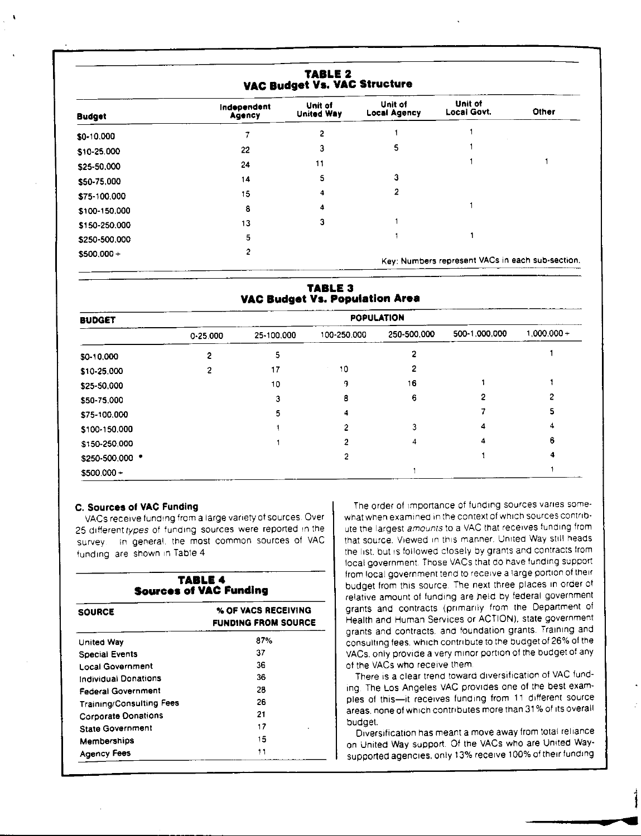| TABLE 2<br>VAC Budget Vs. VAC Structure |                       |                              |                                |                                                  |       |
|-----------------------------------------|-----------------------|------------------------------|--------------------------------|--------------------------------------------------|-------|
| <b>Budget</b>                           | Independent<br>Agency | Unit of<br><b>United Way</b> | Unit of<br><b>Local Agency</b> | Unit of<br>Local Govt.                           | Other |
| \$0-10,000                              |                       | 2                            |                                |                                                  |       |
| \$10-25,000                             | 22                    | 3                            | 5.                             |                                                  |       |
| \$25-50.000                             | 24                    | 11                           |                                |                                                  |       |
| \$50-75,000                             | 14                    | 5                            | 3                              |                                                  |       |
| \$75-100,000                            | 15                    | 4                            |                                |                                                  |       |
| \$100-150,000                           | 8                     | 4                            |                                |                                                  |       |
| \$150-250,000                           | 13                    | 3                            |                                |                                                  |       |
| \$250-500.000                           | 5                     |                              |                                |                                                  |       |
| $$500.000 +$                            |                       |                              |                                | Key: Numbers represent VACs in each sub-section. |       |

### **TABLE 3 VAC Budget Vs. Population Area**

| <b>BUDGET</b>   |          |            |             | <b>POPULATION</b> |               |               |
|-----------------|----------|------------|-------------|-------------------|---------------|---------------|
|                 | 0.25.000 | 25-100.000 | 100-250.000 | 250-500.000       | 500-1.000.000 | $1,000,000 +$ |
| \$0-10,000      |          | 5          |             |                   |               |               |
| \$10-25,000     |          | 17         | 10          |                   |               |               |
| \$25-50.000     |          | 10         | 9           | 16                |               |               |
| \$50-75.000     |          | 3          | 8           | 6                 |               |               |
| \$75-100.000    |          | 5          | 4           |                   |               |               |
| \$100-150.000   |          |            |             |                   |               |               |
| \$150-250,000   |          |            |             | 4                 |               | 6             |
| \$250-500,000 * |          |            |             |                   |               |               |
| $$500.000 +$    |          |            |             |                   |               |               |

#### **C. Sources of VAC Funding**

VACs receive funding from a large variety at sources Over 25 different types of funding sources were reported in the survey. In general, the most common sources of VAC funding are snown 1n Table 4

#### **TABLE4 Sources of VAC Funding**

| <b>SOURCE</b>                   | % OF VACS RECEIVING<br><b>FUNDING FROM SOURCE</b> |  |
|---------------------------------|---------------------------------------------------|--|
| United Way                      | 87%                                               |  |
| Special Events                  | 37                                                |  |
| <b>Local Government</b>         | 36                                                |  |
| Individual Donations            | 36                                                |  |
| <b>Federal Government</b>       | 28                                                |  |
| <b>Training/Consulting Fees</b> | 26                                                |  |
| <b>Corporate Donations</b>      | 21                                                |  |
| <b>State Government</b>         | 17                                                |  |
| Memberships                     | 15                                                |  |
| Agency Fees                     | 11                                                |  |

The order of importance of funding sources vanes somewhat when examined in the context of which sources contribute the largest *amounts* to a VAC that receives funding from that source. Viewed In this manner. United Way still heads the 11st. but Is fol!owed closely by grants and contracts from local government. Those VACs that do have funding support from local government tend to receive a large portion of their budget from this source. The next three places In order of relative amount of funding are field by federal government grants and contracts (primarily from the Department of Health and Human Services or ACTION). state government grants and contracts, and foundation grants. Training and consulting fees, which contribute to the budget of 26% of the VACs. only provide a very minor portion of the budget of any of the VACs who receive them

There is a clear trend toward diversification of VAC funding The Los Angeles VAC provides one of the best examples of this-it receives funding from 11 different source areas. none of which contributes more than 31 % of its overall budget.

Diversification has meant a move away from total reliance on United Way support. Of the VACs who are United Waysupported agencies. only 13% receive 100% of their funding

 $\overline{\phantom{a}}$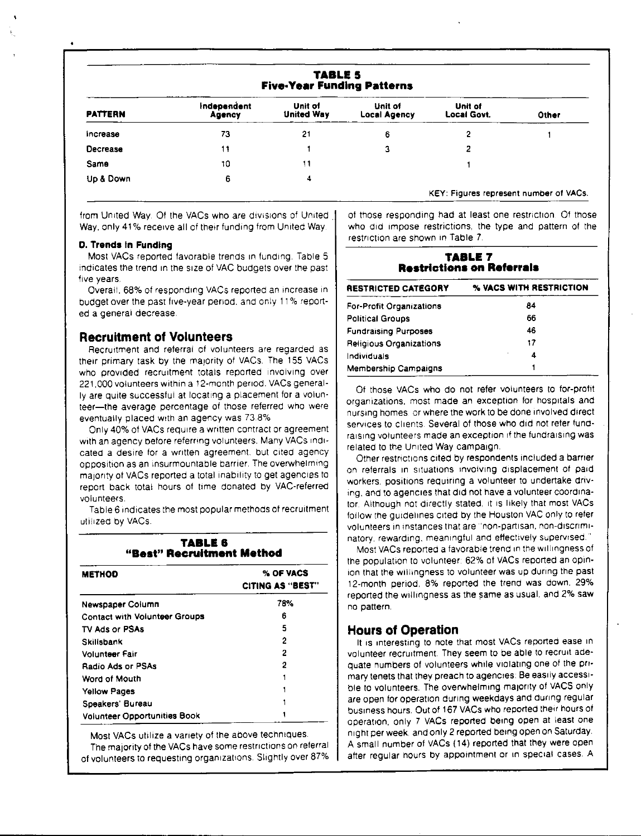| <b>TABLE 5</b><br><b>Five-Year Funding Patterns</b> |                       |                              |                                |                                        |       |
|-----------------------------------------------------|-----------------------|------------------------------|--------------------------------|----------------------------------------|-------|
| <b>PATTERN</b>                                      | Independent<br>Agency | Unit of<br><b>United Way</b> | Unit of<br><b>Local Agency</b> | Unit of<br>Local Govt.                 | Other |
| Increase                                            | 73                    | 21                           | 6                              | 2                                      |       |
| Decrease                                            | 11                    |                              | з                              | 2                                      |       |
| Same                                                | 10                    | 11                           |                                |                                        |       |
| Up & Down                                           | 6                     | 4                            |                                |                                        |       |
|                                                     |                       |                              |                                | KEY. Figures represent number of VACs. |       |

from United Way. Of the VACs who are divisions of United Way, only 41% receive all of their funding from United Way.

#### **D. Trends fn Funding**

Most VACs reported favorable trends In funding. Table 5 indicates the trend 1n the size of VAC budgets over the past five years.

Overall. 68% of responding VACs reported an increase in budget over the past five-year period. and only 11 % reported a general decrease.

### **Recruitment of Volunteers**

Recruitment and referral of volunteers are regarded as their primary task by the majority of VACs. The 155 VACs who provided recruitment totals reported involving over 221,000 volunteers within a 12-month period. VACs generally are quite successful at locating a placement for a volun• teer-the average percentage of those referred who were eventually placed with an agency was 73.8%

Only 40% of VACs require a written contract or agreement with an agency before referring volunteers. Many VACs indicated a desire for a written agreement. but cited agency opposition as an insurmountable barrier. The overwhelming majority of VACs reported a total inability to get agencies to report back total hours of time donated by VAC-referred volunteers

Table 6 indicates the most popular methods of recruitment util12ed by VACs.

#### **TABLE& "Best" Recruitment Method**

| <b>METHOD</b>                        | % OF VACS<br><b>CITING AS "BEST"</b> |
|--------------------------------------|--------------------------------------|
| Newspaper Column                     | 78%                                  |
| <b>Contact with Volunteer Groups</b> | 6                                    |
| TV Ads or PSAs                       | 5                                    |
| Skillsbank                           | 2                                    |
| Volunteer Fair                       | 2                                    |
| <b>Radio Ads or PSAs</b>             | 2                                    |
| Word of Mouth                        |                                      |
| <b>Yellow Pages</b>                  |                                      |
| Speakers' Bureau                     |                                      |
| <b>Volunteer Opportunities Book</b>  |                                      |

Most VACs utilize a variety of the above techniques. The maiority of the VACs have some restrictions on referral of volunteers to requesting organizations. Slightly over 87% of those responding had at least one restriction. Of those who did impose restrictions, the type and pattern of the restriction are shown in Table 7.

#### **TABLE 7 Restrictions on Referrals**

| <b>RESTRICTED CATEGORY</b>      | % VACS WITH RESTRICTION |
|---------------------------------|-------------------------|
| <b>For-Profit Organizations</b> | 84                      |
| <b>Political Groups</b>         | 66                      |
| <b>Fundraising Purposes</b>     | 46                      |
| Religious Organizations         | 17                      |
| Individuals                     | 4                       |
| <b>Membership Campaigns</b>     |                         |

Of those VACs who do not refer volunteers to for-profit organizations, most made an exception for hospitals and nursing homes or where the work to be done involved direct services to clients. Several of those who did not refer fundraising volunteers made an exception if the fundraising was related to the United Way campaign.

Other restrictions cited by respondents included a barrrer on referrals in situations involving displacement of paid workers, positions requiring a volunteer to undertake driving, and to agencies that did not have a volunteer coordinator. Although not directly stated, it is likely that most VACs. follow the guidelines cited by the Houston VAC only to refer volunteers in instances that are "non-partisan, non-discriminatory. rewarding, meaningful and effectively supervised."

Most VACs reported a favorable trend in the willingness of the population to volunteer 62% of VACs reported an opinion that the willingness to volunteer was up during the past 12-month period. 8% reported the trend was down. 29% reported the willingness as the same as usual. and 2% saw. no pattern.

### **Hours of Operation**

It is interesting to note that most VACs reported ease in volunteer recruitment. They seem to be able to recruit adequate numbers of volunteers while violating one of the primary tenets that they preach to agencies Be easily accessible to volunteers. The overwhelming majority of VACS only are open for operation during weekdays and during regular business hours. Out of 167 VACs who reported their hours of operation, only 7 VACs reported being open at least one night per **week.** and only 2 reported being open on Saturday A small number of VACs (14) reported that they were open after regular hours by appointment or in special cases. A